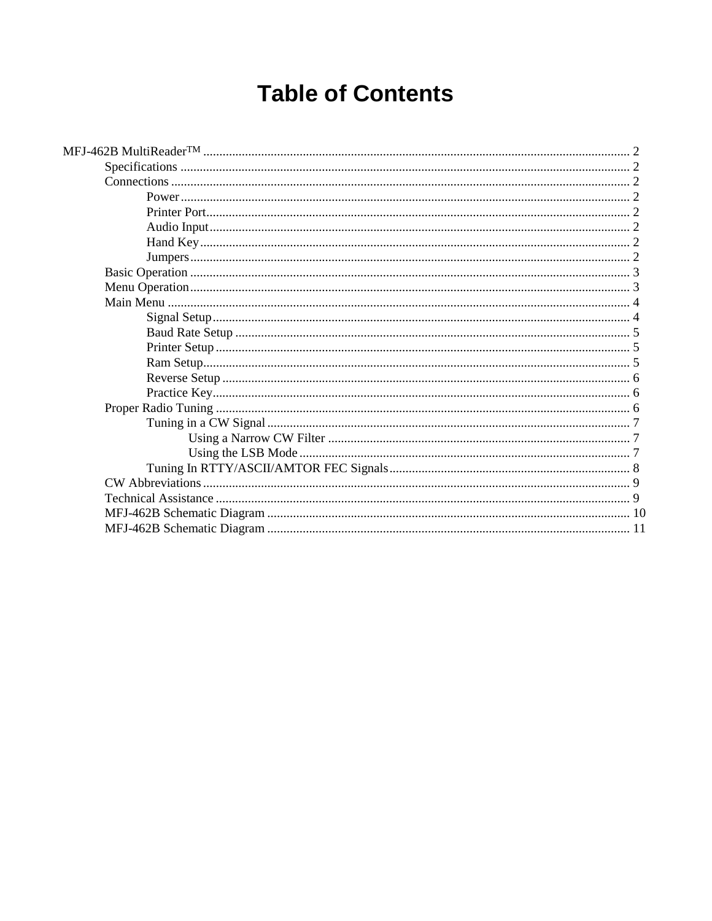# **Table of Contents**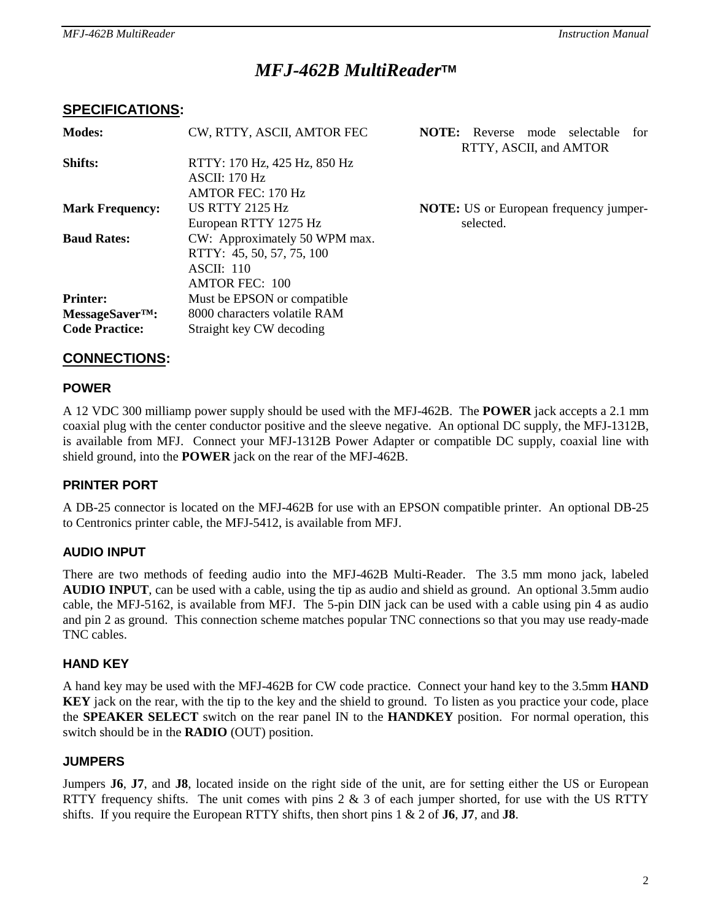# *MFJ-462B MultiReader***TM**

## **SPECIFICATIONS:**

| <b>Modes:</b>          | CW, RTTY, ASCII, AMTOR FEC                           | NOTE:<br>Reverse mode<br>selectable<br>for<br>RTTY, ASCII, and AMTOR |
|------------------------|------------------------------------------------------|----------------------------------------------------------------------|
| Shifts:                | RTTY: 170 Hz, 425 Hz, 850 Hz                         |                                                                      |
|                        | $\triangle$ SCII: 170 Hz<br><b>AMTOR FEC: 170 Hz</b> |                                                                      |
| <b>Mark Frequency:</b> | <b>US RTTY 2125 Hz</b>                               | <b>NOTE:</b> US or European frequency jumper-                        |
|                        | European RTTY 1275 Hz                                | selected.                                                            |
| <b>Baud Rates:</b>     | CW: Approximately 50 WPM max.                        |                                                                      |
|                        | RTTY: 45, 50, 57, 75, 100                            |                                                                      |
|                        | $\triangle$ SCII: 110                                |                                                                      |
|                        | <b>AMTOR FEC: 100</b>                                |                                                                      |
| <b>Printer:</b>        | Must be EPSON or compatible                          |                                                                      |
| $MessageSaverTM$ :     | 8000 characters volatile RAM                         |                                                                      |
| <b>Code Practice:</b>  | Straight key CW decoding                             |                                                                      |

## **CONNECTIONS:**

## **POWER**

A 12 VDC 300 milliamp power supply should be used with the MFJ-462B. The **POWER** jack accepts a 2.1 mm coaxial plug with the center conductor positive and the sleeve negative. An optional DC supply, the MFJ-1312B, is available from MFJ. Connect your MFJ-1312B Power Adapter or compatible DC supply, coaxial line with shield ground, into the **POWER** jack on the rear of the MFJ-462B.

## **PRINTER PORT**

A DB-25 connector is located on the MFJ-462B for use with an EPSON compatible printer. An optional DB-25 to Centronics printer cable, the MFJ-5412, is available from MFJ.

## **AUDIO INPUT**

There are two methods of feeding audio into the MFJ-462B Multi-Reader. The 3.5 mm mono jack, labeled **AUDIO INPUT**, can be used with a cable, using the tip as audio and shield as ground. An optional 3.5mm audio cable, the MFJ-5162, is available from MFJ. The 5-pin DIN jack can be used with a cable using pin 4 as audio and pin 2 as ground. This connection scheme matches popular TNC connections so that you may use ready-made TNC cables.

## **HAND KEY**

A hand key may be used with the MFJ-462B for CW code practice. Connect your hand key to the 3.5mm **HAND KEY** jack on the rear, with the tip to the key and the shield to ground. To listen as you practice your code, place the **SPEAKER SELECT** switch on the rear panel IN to the **HANDKEY** position. For normal operation, this switch should be in the **RADIO** (OUT) position.

## **JUMPERS**

Jumpers **J6**, **J7**, and **J8**, located inside on the right side of the unit, are for setting either the US or European RTTY frequency shifts. The unit comes with pins  $2 \& 3$  of each jumper shorted, for use with the US RTTY shifts. If you require the European RTTY shifts, then short pins 1 & 2 of **J6**, **J7**, and **J8**.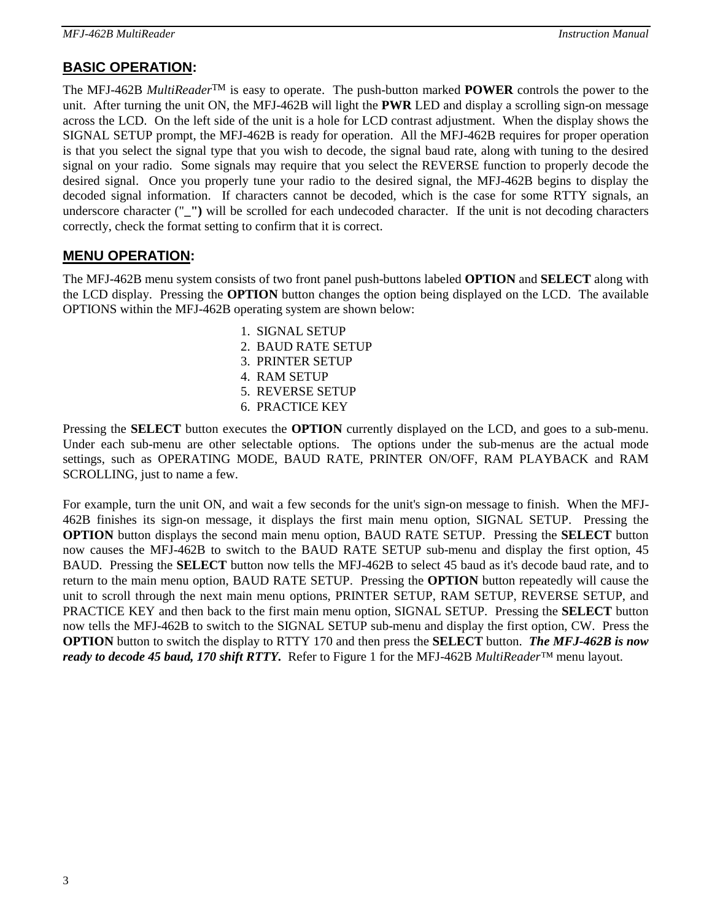# **BASIC OPERATION:**

The MFJ-462B *MultiReader*TM is easy to operate. The push-button marked **POWER** controls the power to the unit. After turning the unit ON, the MFJ-462B will light the **PWR** LED and display a scrolling sign-on message across the LCD. On the left side of the unit is a hole for LCD contrast adjustment. When the display shows the SIGNAL SETUP prompt, the MFJ-462B is ready for operation. All the MFJ-462B requires for proper operation is that you select the signal type that you wish to decode, the signal baud rate, along with tuning to the desired signal on your radio. Some signals may require that you select the REVERSE function to properly decode the desired signal. Once you properly tune your radio to the desired signal, the MFJ-462B begins to display the decoded signal information. If characters cannot be decoded, which is the case for some RTTY signals, an underscore character ("**\_")** will be scrolled for each undecoded character. If the unit is not decoding characters correctly, check the format setting to confirm that it is correct.

## **MENU OPERATION:**

The MFJ-462B menu system consists of two front panel push-buttons labeled **OPTION** and **SELECT** along with the LCD display. Pressing the **OPTION** button changes the option being displayed on the LCD. The available OPTIONS within the MFJ-462B operating system are shown below:

- 1. SIGNAL SETUP
- 2. BAUD RATE SETUP
- 3. PRINTER SETUP
- 4. RAM SETUP
- 5. REVERSE SETUP
- 6. PRACTICE KEY

Pressing the **SELECT** button executes the **OPTION** currently displayed on the LCD, and goes to a sub-menu. Under each sub-menu are other selectable options. The options under the sub-menus are the actual mode settings, such as OPERATING MODE, BAUD RATE, PRINTER ON/OFF, RAM PLAYBACK and RAM SCROLLING, just to name a few.

For example, turn the unit ON, and wait a few seconds for the unit's sign-on message to finish. When the MFJ-462B finishes its sign-on message, it displays the first main menu option, SIGNAL SETUP. Pressing the **OPTION** button displays the second main menu option, BAUD RATE SETUP. Pressing the **SELECT** button now causes the MFJ-462B to switch to the BAUD RATE SETUP sub-menu and display the first option, 45 BAUD. Pressing the **SELECT** button now tells the MFJ-462B to select 45 baud as it's decode baud rate, and to return to the main menu option, BAUD RATE SETUP. Pressing the **OPTION** button repeatedly will cause the unit to scroll through the next main menu options, PRINTER SETUP, RAM SETUP, REVERSE SETUP, and PRACTICE KEY and then back to the first main menu option, SIGNAL SETUP. Pressing the **SELECT** button now tells the MFJ-462B to switch to the SIGNAL SETUP sub-menu and display the first option, CW. Press the **OPTION** button to switch the display to RTTY 170 and then press the **SELECT** button. *The MFJ-462B is now ready to decode 45 baud, 170 shift RTTY.* Refer to Figure 1 for the MFJ-462B *MultiReader™* menu layout.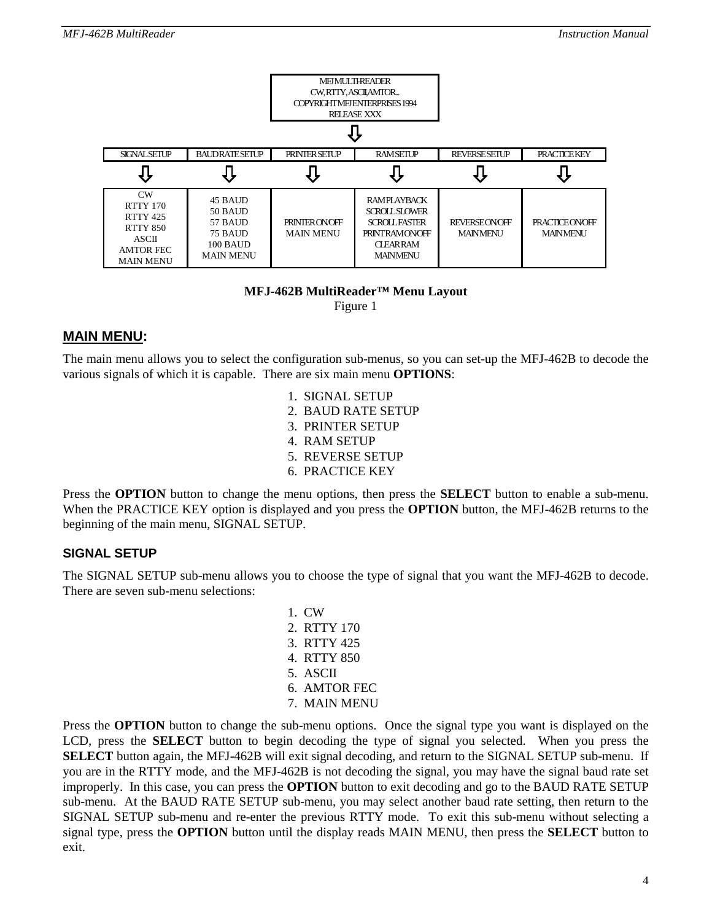

#### **MFJ-462B MultiReader™ Menu Layout**  Figure 1

## **MAIN MENU:**

The main menu allows you to select the configuration sub-menus, so you can set-up the MFJ-462B to decode the various signals of which it is capable. There are six main menu **OPTIONS**:

> 1. SIGNAL SETUP 2. BAUD RATE SETUP 3. PRINTER SETUP 4. RAM SETUP 5. REVERSE SETUP 6. PRACTICE KEY

Press the **OPTION** button to change the menu options, then press the **SELECT** button to enable a sub-menu. When the PRACTICE KEY option is displayed and you press the **OPTION** button, the MFJ-462B returns to the beginning of the main menu, SIGNAL SETUP.

## **SIGNAL SETUP**

The SIGNAL SETUP sub-menu allows you to choose the type of signal that you want the MFJ-462B to decode. There are seven sub-menu selections:

> 1. CW 2. RTTY 170 3. RTTY 425 4. RTTY 850 5. ASCII 6. AMTOR FEC 7. MAIN MENU

Press the **OPTION** button to change the sub-menu options. Once the signal type you want is displayed on the LCD, press the **SELECT** button to begin decoding the type of signal you selected. When you press the **SELECT** button again, the MFJ-462B will exit signal decoding, and return to the SIGNAL SETUP sub-menu. If you are in the RTTY mode, and the MFJ-462B is not decoding the signal, you may have the signal baud rate set improperly. In this case, you can press the **OPTION** button to exit decoding and go to the BAUD RATE SETUP sub-menu. At the BAUD RATE SETUP sub-menu, you may select another baud rate setting, then return to the SIGNAL SETUP sub-menu and re-enter the previous RTTY mode. To exit this sub-menu without selecting a signal type, press the **OPTION** button until the display reads MAIN MENU, then press the **SELECT** button to exit.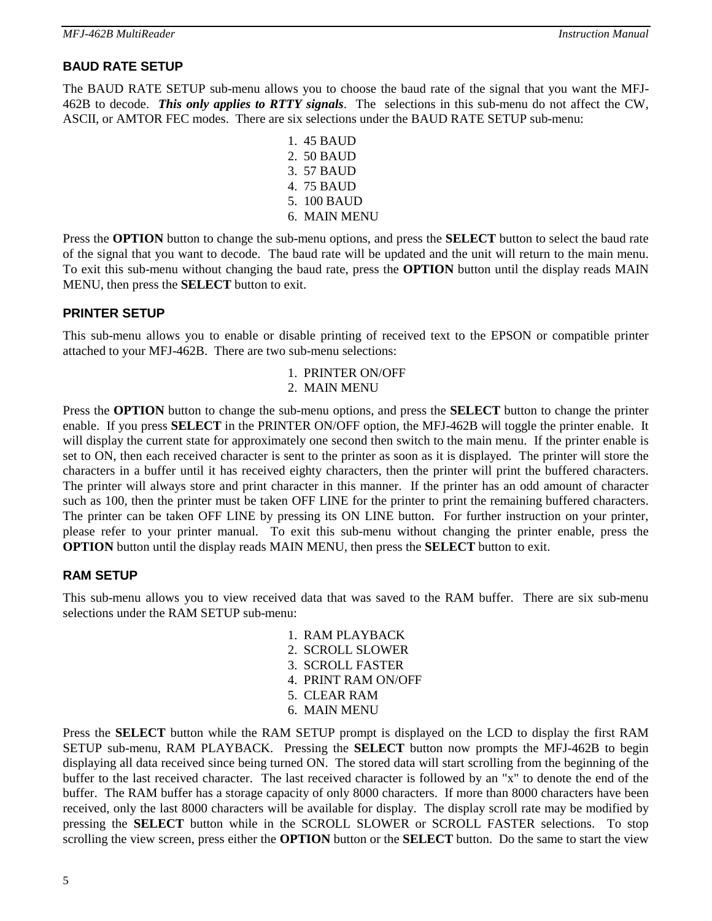## **BAUD RATE SETUP**

The BAUD RATE SETUP sub-menu allows you to choose the baud rate of the signal that you want the MFJ-462B to decode. *This only applies to RTTY signals*. The selections in this sub-menu do not affect the CW, ASCII, or AMTOR FEC modes. There are six selections under the BAUD RATE SETUP sub-menu:

> 1. 45 BAUD 2. 50 BAUD 3. 57 BAUD 4. 75 BAUD 5. 100 BAUD 6. MAIN MENU

Press the **OPTION** button to change the sub-menu options, and press the **SELECT** button to select the baud rate of the signal that you want to decode. The baud rate will be updated and the unit will return to the main menu. To exit this sub-menu without changing the baud rate, press the **OPTION** button until the display reads MAIN MENU, then press the **SELECT** button to exit.

## **PRINTER SETUP**

This sub-menu allows you to enable or disable printing of received text to the EPSON or compatible printer attached to your MFJ-462B. There are two sub-menu selections:

## 1. PRINTER ON/OFF

#### 2. MAIN MENU

Press the **OPTION** button to change the sub-menu options, and press the **SELECT** button to change the printer enable. If you press **SELECT** in the PRINTER ON/OFF option, the MFJ-462B will toggle the printer enable. It will display the current state for approximately one second then switch to the main menu. If the printer enable is set to ON, then each received character is sent to the printer as soon as it is displayed. The printer will store the characters in a buffer until it has received eighty characters, then the printer will print the buffered characters. The printer will always store and print character in this manner. If the printer has an odd amount of character such as 100, then the printer must be taken OFF LINE for the printer to print the remaining buffered characters. The printer can be taken OFF LINE by pressing its ON LINE button. For further instruction on your printer, please refer to your printer manual. To exit this sub-menu without changing the printer enable, press the **OPTION** button until the display reads MAIN MENU, then press the **SELECT** button to exit.

## **RAM SETUP**

This sub-menu allows you to view received data that was saved to the RAM buffer. There are six sub-menu selections under the RAM SETUP sub-menu:

- 1. RAM PLAYBACK 2. SCROLL SLOWER 3. SCROLL FASTER 4. PRINT RAM ON/OFF 5. CLEAR RAM
- 6. MAIN MENU

Press the **SELECT** button while the RAM SETUP prompt is displayed on the LCD to display the first RAM SETUP sub-menu, RAM PLAYBACK. Pressing the **SELECT** button now prompts the MFJ-462B to begin displaying all data received since being turned ON. The stored data will start scrolling from the beginning of the buffer to the last received character. The last received character is followed by an "x" to denote the end of the buffer. The RAM buffer has a storage capacity of only 8000 characters. If more than 8000 characters have been received, only the last 8000 characters will be available for display. The display scroll rate may be modified by pressing the **SELECT** button while in the SCROLL SLOWER or SCROLL FASTER selections. To stop scrolling the view screen, press either the **OPTION** button or the **SELECT** button. Do the same to start the view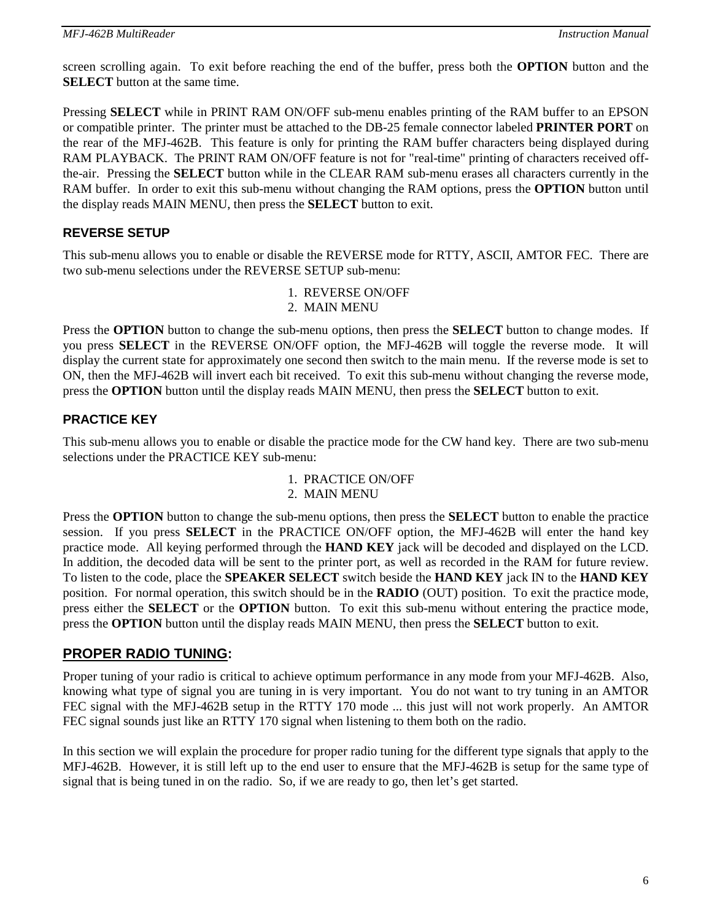screen scrolling again. To exit before reaching the end of the buffer, press both the **OPTION** button and the **SELECT** button at the same time.

Pressing **SELECT** while in PRINT RAM ON/OFF sub-menu enables printing of the RAM buffer to an EPSON or compatible printer. The printer must be attached to the DB-25 female connector labeled **PRINTER PORT** on the rear of the MFJ-462B. This feature is only for printing the RAM buffer characters being displayed during RAM PLAYBACK. The PRINT RAM ON/OFF feature is not for "real-time" printing of characters received offthe-air. Pressing the **SELECT** button while in the CLEAR RAM sub-menu erases all characters currently in the RAM buffer. In order to exit this sub-menu without changing the RAM options, press the **OPTION** button until the display reads MAIN MENU, then press the **SELECT** button to exit.

## **REVERSE SETUP**

This sub-menu allows you to enable or disable the REVERSE mode for RTTY, ASCII, AMTOR FEC. There are two sub-menu selections under the REVERSE SETUP sub-menu:

> 1. REVERSE ON/OFF 2. MAIN MENU

Press the **OPTION** button to change the sub-menu options, then press the **SELECT** button to change modes. If you press **SELECT** in the REVERSE ON/OFF option, the MFJ-462B will toggle the reverse mode. It will display the current state for approximately one second then switch to the main menu. If the reverse mode is set to ON, then the MFJ-462B will invert each bit received. To exit this sub-menu without changing the reverse mode, press the **OPTION** button until the display reads MAIN MENU, then press the **SELECT** button to exit.

## **PRACTICE KEY**

This sub-menu allows you to enable or disable the practice mode for the CW hand key. There are two sub-menu selections under the PRACTICE KEY sub-menu:

- 1. PRACTICE ON/OFF
- 2. MAIN MENU

Press the **OPTION** button to change the sub-menu options, then press the **SELECT** button to enable the practice session. If you press **SELECT** in the PRACTICE ON/OFF option, the MFJ-462B will enter the hand key practice mode. All keying performed through the **HAND KEY** jack will be decoded and displayed on the LCD. In addition, the decoded data will be sent to the printer port, as well as recorded in the RAM for future review. To listen to the code, place the **SPEAKER SELECT** switch beside the **HAND KEY** jack IN to the **HAND KEY** position. For normal operation, this switch should be in the **RADIO** (OUT) position. To exit the practice mode, press either the **SELECT** or the **OPTION** button. To exit this sub-menu without entering the practice mode, press the **OPTION** button until the display reads MAIN MENU, then press the **SELECT** button to exit.

## **PROPER RADIO TUNING:**

Proper tuning of your radio is critical to achieve optimum performance in any mode from your MFJ-462B. Also, knowing what type of signal you are tuning in is very important. You do not want to try tuning in an AMTOR FEC signal with the MFJ-462B setup in the RTTY 170 mode ... this just will not work properly. An AMTOR FEC signal sounds just like an RTTY 170 signal when listening to them both on the radio.

In this section we will explain the procedure for proper radio tuning for the different type signals that apply to the MFJ-462B. However, it is still left up to the end user to ensure that the MFJ-462B is setup for the same type of signal that is being tuned in on the radio. So, if we are ready to go, then let's get started.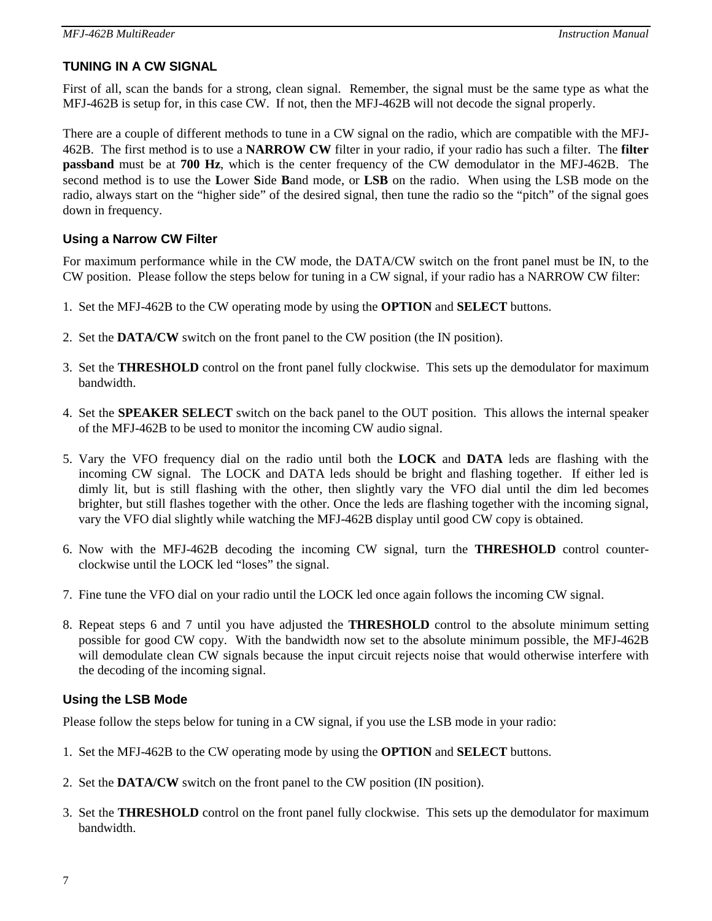## **TUNING IN A CW SIGNAL**

First of all, scan the bands for a strong, clean signal. Remember, the signal must be the same type as what the MFJ-462B is setup for, in this case CW. If not, then the MFJ-462B will not decode the signal properly.

There are a couple of different methods to tune in a CW signal on the radio, which are compatible with the MFJ-462B. The first method is to use a **NARROW CW** filter in your radio, if your radio has such a filter. The **filter passband** must be at **700 Hz**, which is the center frequency of the CW demodulator in the MFJ-462B. The second method is to use the **L**ower **S**ide **B**and mode, or **LSB** on the radio. When using the LSB mode on the radio, always start on the "higher side" of the desired signal, then tune the radio so the "pitch" of the signal goes down in frequency.

## **Using a Narrow CW Filter**

For maximum performance while in the CW mode, the DATA/CW switch on the front panel must be IN, to the CW position. Please follow the steps below for tuning in a CW signal, if your radio has a NARROW CW filter:

- 1. Set the MFJ-462B to the CW operating mode by using the **OPTION** and **SELECT** buttons.
- 2. Set the **DATA/CW** switch on the front panel to the CW position (the IN position).
- 3. Set the **THRESHOLD** control on the front panel fully clockwise. This sets up the demodulator for maximum bandwidth.
- 4. Set the **SPEAKER SELECT** switch on the back panel to the OUT position. This allows the internal speaker of the MFJ-462B to be used to monitor the incoming CW audio signal.
- 5. Vary the VFO frequency dial on the radio until both the **LOCK** and **DATA** leds are flashing with the incoming CW signal. The LOCK and DATA leds should be bright and flashing together. If either led is dimly lit, but is still flashing with the other, then slightly vary the VFO dial until the dim led becomes brighter, but still flashes together with the other. Once the leds are flashing together with the incoming signal, vary the VFO dial slightly while watching the MFJ-462B display until good CW copy is obtained.
- 6. Now with the MFJ-462B decoding the incoming CW signal, turn the **THRESHOLD** control counterclockwise until the LOCK led "loses" the signal.
- 7. Fine tune the VFO dial on your radio until the LOCK led once again follows the incoming CW signal.
- 8. Repeat steps 6 and 7 until you have adjusted the **THRESHOLD** control to the absolute minimum setting possible for good CW copy. With the bandwidth now set to the absolute minimum possible, the MFJ-462B will demodulate clean CW signals because the input circuit rejects noise that would otherwise interfere with the decoding of the incoming signal.

## **Using the LSB Mode**

Please follow the steps below for tuning in a CW signal, if you use the LSB mode in your radio:

- 1. Set the MFJ-462B to the CW operating mode by using the **OPTION** and **SELECT** buttons.
- 2. Set the **DATA/CW** switch on the front panel to the CW position (IN position).
- 3. Set the **THRESHOLD** control on the front panel fully clockwise. This sets up the demodulator for maximum bandwidth.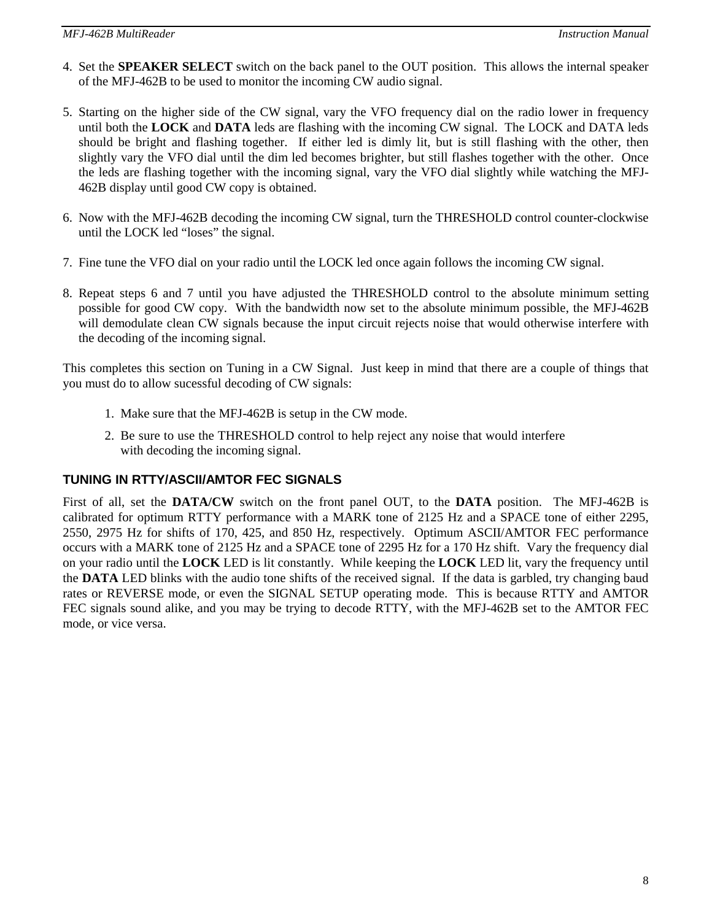- 4. Set the **SPEAKER SELECT** switch on the back panel to the OUT position. This allows the internal speaker of the MFJ-462B to be used to monitor the incoming CW audio signal.
- 5. Starting on the higher side of the CW signal, vary the VFO frequency dial on the radio lower in frequency until both the **LOCK** and **DATA** leds are flashing with the incoming CW signal. The LOCK and DATA leds should be bright and flashing together. If either led is dimly lit, but is still flashing with the other, then slightly vary the VFO dial until the dim led becomes brighter, but still flashes together with the other. Once the leds are flashing together with the incoming signal, vary the VFO dial slightly while watching the MFJ-462B display until good CW copy is obtained.
- 6. Now with the MFJ-462B decoding the incoming CW signal, turn the THRESHOLD control counter-clockwise until the LOCK led "loses" the signal.
- 7. Fine tune the VFO dial on your radio until the LOCK led once again follows the incoming CW signal.
- 8. Repeat steps 6 and 7 until you have adjusted the THRESHOLD control to the absolute minimum setting possible for good CW copy. With the bandwidth now set to the absolute minimum possible, the MFJ-462B will demodulate clean CW signals because the input circuit rejects noise that would otherwise interfere with the decoding of the incoming signal.

This completes this section on Tuning in a CW Signal. Just keep in mind that there are a couple of things that you must do to allow sucessful decoding of CW signals:

- 1. Make sure that the MFJ-462B is setup in the CW mode.
- 2. Be sure to use the THRESHOLD control to help reject any noise that would interfere with decoding the incoming signal.

## **TUNING IN RTTY/ASCII/AMTOR FEC SIGNALS**

First of all, set the **DATA/CW** switch on the front panel OUT, to the **DATA** position. The MFJ-462B is calibrated for optimum RTTY performance with a MARK tone of 2125 Hz and a SPACE tone of either 2295, 2550, 2975 Hz for shifts of 170, 425, and 850 Hz, respectively. Optimum ASCII/AMTOR FEC performance occurs with a MARK tone of 2125 Hz and a SPACE tone of 2295 Hz for a 170 Hz shift. Vary the frequency dial on your radio until the **LOCK** LED is lit constantly. While keeping the **LOCK** LED lit, vary the frequency until the **DATA** LED blinks with the audio tone shifts of the received signal. If the data is garbled, try changing baud rates or REVERSE mode, or even the SIGNAL SETUP operating mode. This is because RTTY and AMTOR FEC signals sound alike, and you may be trying to decode RTTY, with the MFJ-462B set to the AMTOR FEC mode, or vice versa.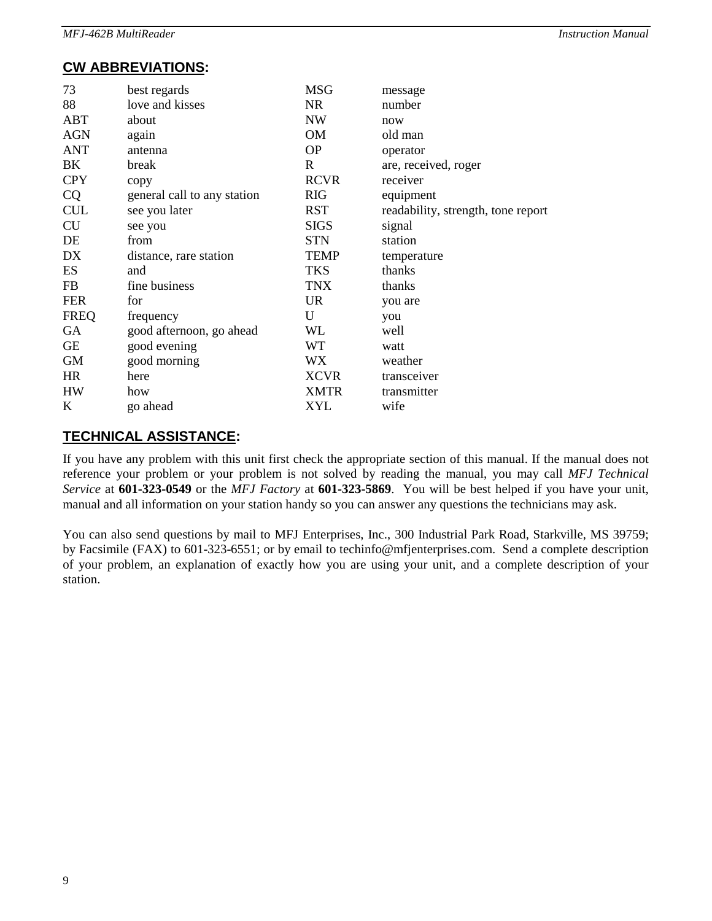# **CW ABBREVIATIONS:**

| 73          | best regards                | <b>MSG</b>  | message                            |
|-------------|-----------------------------|-------------|------------------------------------|
| 88          | love and kisses             | <b>NR</b>   | number                             |
| ABT         | about                       | <b>NW</b>   | now                                |
| <b>AGN</b>  | again                       | OM          | old man                            |
| <b>ANT</b>  | antenna                     | <b>OP</b>   | operator                           |
| BK          | break                       | R           | are, received, roger               |
| <b>CPY</b>  | copy                        | <b>RCVR</b> | receiver                           |
| <b>CQ</b>   | general call to any station | <b>RIG</b>  | equipment                          |
| <b>CUL</b>  | see you later               | <b>RST</b>  | readability, strength, tone report |
| <b>CU</b>   | see you                     | <b>SIGS</b> | signal                             |
| DE          | from                        | <b>STN</b>  | station                            |
| DX          | distance, rare station      | <b>TEMP</b> | temperature                        |
| ES          | and                         | <b>TKS</b>  | thanks                             |
| <b>FB</b>   | fine business               | <b>TNX</b>  | thanks                             |
| <b>FER</b>  | for                         | <b>UR</b>   | you are                            |
| <b>FREQ</b> | frequency                   | U           | you                                |
| GA          | good afternoon, go ahead    | WL          | well                               |
| GE          | good evening                | WT          | watt                               |
| <b>GM</b>   | good morning                | <b>WX</b>   | weather                            |
| <b>HR</b>   | here                        | <b>XCVR</b> | transceiver                        |
| <b>HW</b>   | how                         | <b>XMTR</b> | transmitter                        |
| K           | go ahead                    | <b>XYL</b>  | wife                               |

## **TECHNICAL ASSISTANCE:**

If you have any problem with this unit first check the appropriate section of this manual. If the manual does not reference your problem or your problem is not solved by reading the manual, you may call *MFJ Technical Service* at **601-323-0549** or the *MFJ Factory* at **601-323-5869**. You will be best helped if you have your unit, manual and all information on your station handy so you can answer any questions the technicians may ask.

You can also send questions by mail to MFJ Enterprises, Inc., 300 Industrial Park Road, Starkville, MS 39759; by Facsimile (FAX) to 601-323-6551; or by email to techinfo@mfjenterprises.com. Send a complete description of your problem, an explanation of exactly how you are using your unit, and a complete description of your station.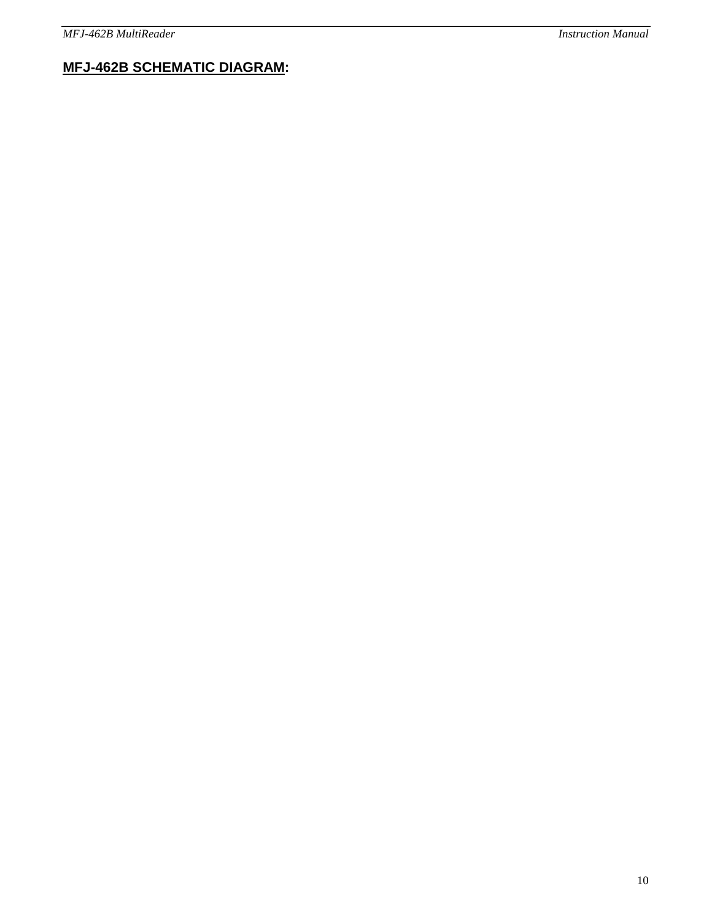# **MFJ-462B SCHEMATIC DIAGRAM:**